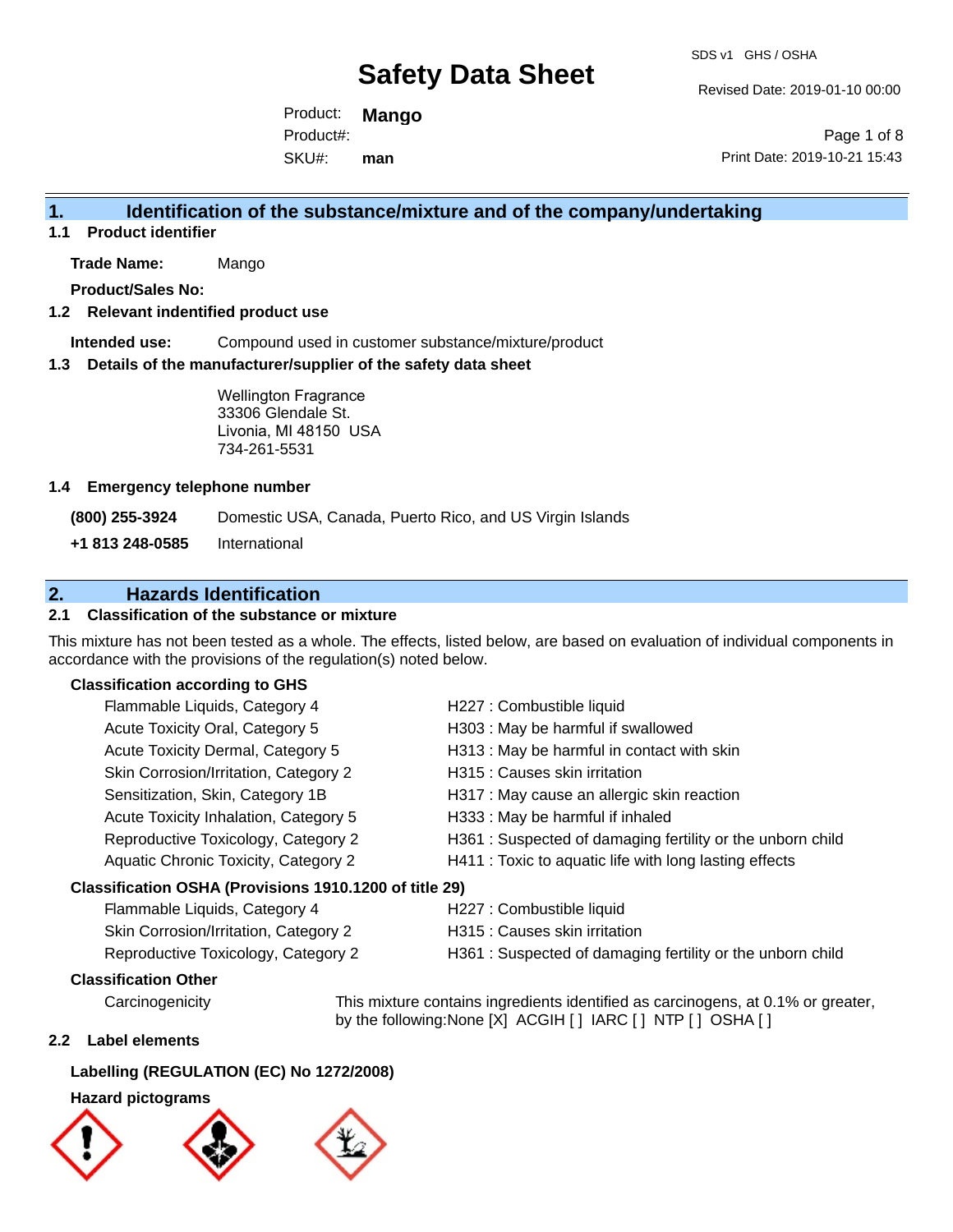Revised Date: 2019-01-10 00:00

Product: **Mango** SKU#: Product#: **man**

Page 1 of 8 Print Date: 2019-10-21 15:43

### **1. Identification of the substance/mixture and of the company/undertaking**

**1.1 Product identifier**

**Trade Name:** Mango

**Product/Sales No:**

### **1.2 Relevant indentified product use**

**Intended use:** Compound used in customer substance/mixture/product

#### **1.3 Details of the manufacturer/supplier of the safety data sheet**

Wellington Fragrance 33306 Glendale St. Livonia, MI 48150 USA 734-261-5531

### **1.4 Emergency telephone number**

**(800) 255-3924** Domestic USA, Canada, Puerto Rico, and US Virgin Islands

**+1 813 248-0585** International

### **2. Hazards Identification**

### **2.1 Classification of the substance or mixture**

This mixture has not been tested as a whole. The effects, listed below, are based on evaluation of individual components in accordance with the provisions of the regulation(s) noted below.

### **Classification according to GHS**

| Flammable Liquids, Category 4                          | H227 : Combustible liquid                                 |
|--------------------------------------------------------|-----------------------------------------------------------|
| Acute Toxicity Oral, Category 5                        | H303 : May be harmful if swallowed                        |
| Acute Toxicity Dermal, Category 5                      | H313: May be harmful in contact with skin                 |
| Skin Corrosion/Irritation, Category 2                  | H315 : Causes skin irritation                             |
| Sensitization, Skin, Category 1B                       | H317 : May cause an allergic skin reaction                |
| Acute Toxicity Inhalation, Category 5                  | H333: May be harmful if inhaled                           |
| Reproductive Toxicology, Category 2                    | H361: Suspected of damaging fertility or the unborn child |
| Aquatic Chronic Toxicity, Category 2                   | H411 : Toxic to aquatic life with long lasting effects    |
| Classification OSHA (Provisions 1910.1200 of title 29) |                                                           |
| $E$ lammable Liquide Catogony 4                        | 4007 : Combuctible liquid                                 |

| Flammable Liquids, Category 4<br>H227 : Combustible liquid                                       |  |
|--------------------------------------------------------------------------------------------------|--|
| Skin Corrosion/Irritation, Category 2<br>H315 : Causes skin irritation                           |  |
| H361: Suspected of damaging fertility or the unborn child<br>Reproductive Toxicology, Category 2 |  |

### **Classification Other**

Carcinogenicity This mixture contains ingredients identified as carcinogens, at 0.1% or greater, by the following:None [X] ACGIH [ ] IARC [ ] NTP [ ] OSHA [ ]

### **2.2 Label elements**

#### **Labelling (REGULATION (EC) No 1272/2008)**

### **Hazard pictograms**





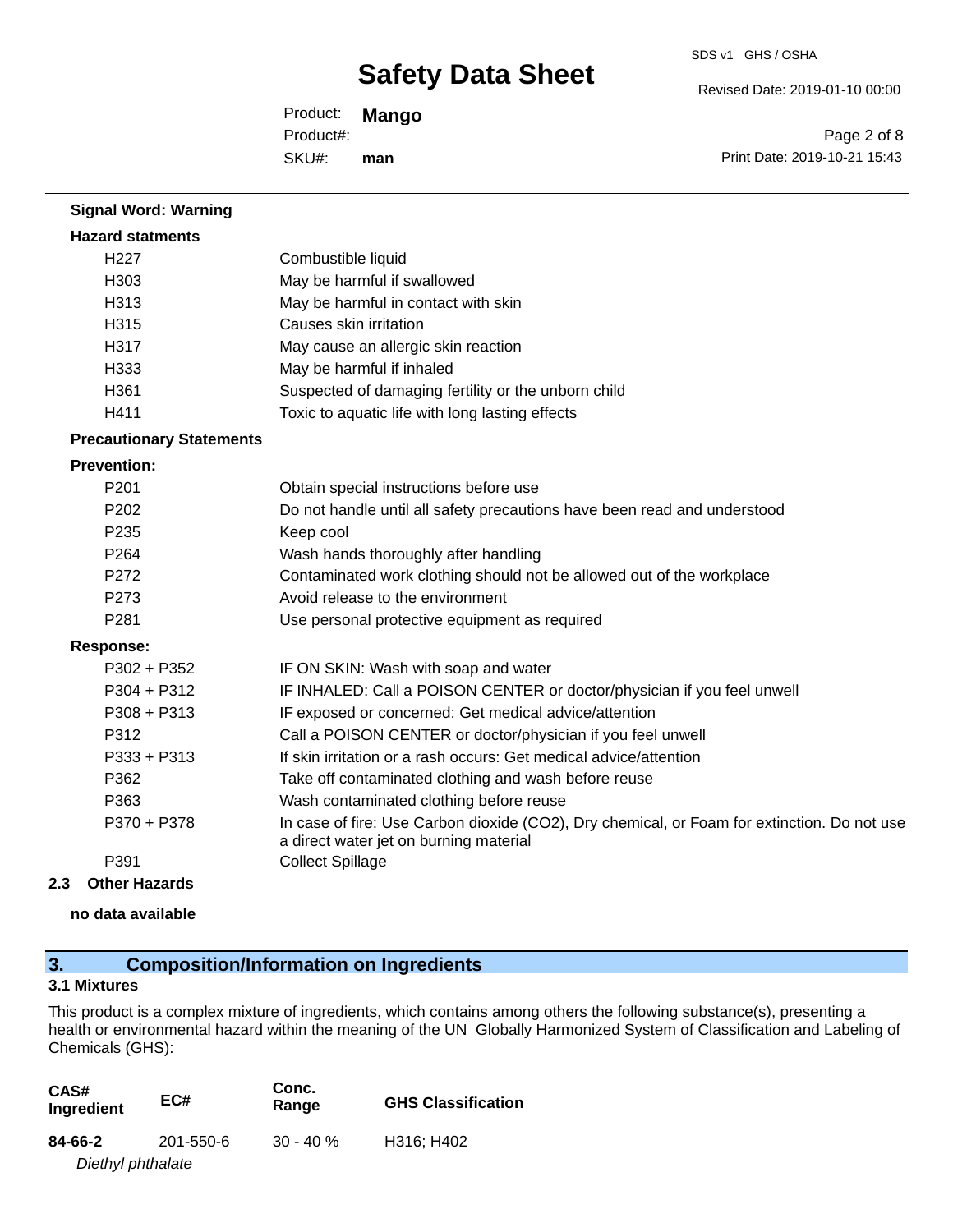Revised Date: 2019-01-10 00:00

Product: **Mango** SKU#: Product#: **man**

Page 2 of 8 Print Date: 2019-10-21 15:43

### **Signal Word: Warning Hazard statments** H227 Combustible liquid H303 May be harmful if swallowed H313 May be harmful in contact with skin H315 Causes skin irritation H317 May cause an allergic skin reaction H333 May be harmful if inhaled H361 Suspected of damaging fertility or the unborn child H411 Toxic to aquatic life with long lasting effects **Precautionary Statements Prevention:** P201 Obtain special instructions before use P202 Do not handle until all safety precautions have been read and understood P235 Keep cool P264 Wash hands thoroughly after handling P272 Contaminated work clothing should not be allowed out of the workplace P273 Avoid release to the environment P281 Use personal protective equipment as required **Response:** P302 + P352 IF ON SKIN: Wash with soap and water P304 + P312 **IF INHALED: Call a POISON CENTER or doctor/physician if you feel unwell** P308 + P313 IF exposed or concerned: Get medical advice/attention P312 Call a POISON CENTER or doctor/physician if you feel unwell P333 + P313 If skin irritation or a rash occurs: Get medical advice/attention P362 Take off contaminated clothing and wash before reuse P363 Wash contaminated clothing before reuse P370 + P378 In case of fire: Use Carbon dioxide (CO2), Dry chemical, or Foam for extinction. Do not use a direct water jet on burning material P391 Collect Spillage **2.3 Other Hazards**

**no data available**

### **3. Composition/Information on Ingredients**

### **3.1 Mixtures**

This product is a complex mixture of ingredients, which contains among others the following substance(s), presenting a health or environmental hazard within the meaning of the UN Globally Harmonized System of Classification and Labeling of Chemicals (GHS):

| CAS#<br>Ingredient | EC#       | Conc.<br>Range | <b>GHS Classification</b> |
|--------------------|-----------|----------------|---------------------------|
| 84-66-2            | 201-550-6 | $30 - 40 \%$   | H316; H402                |
| Diethyl phthalate  |           |                |                           |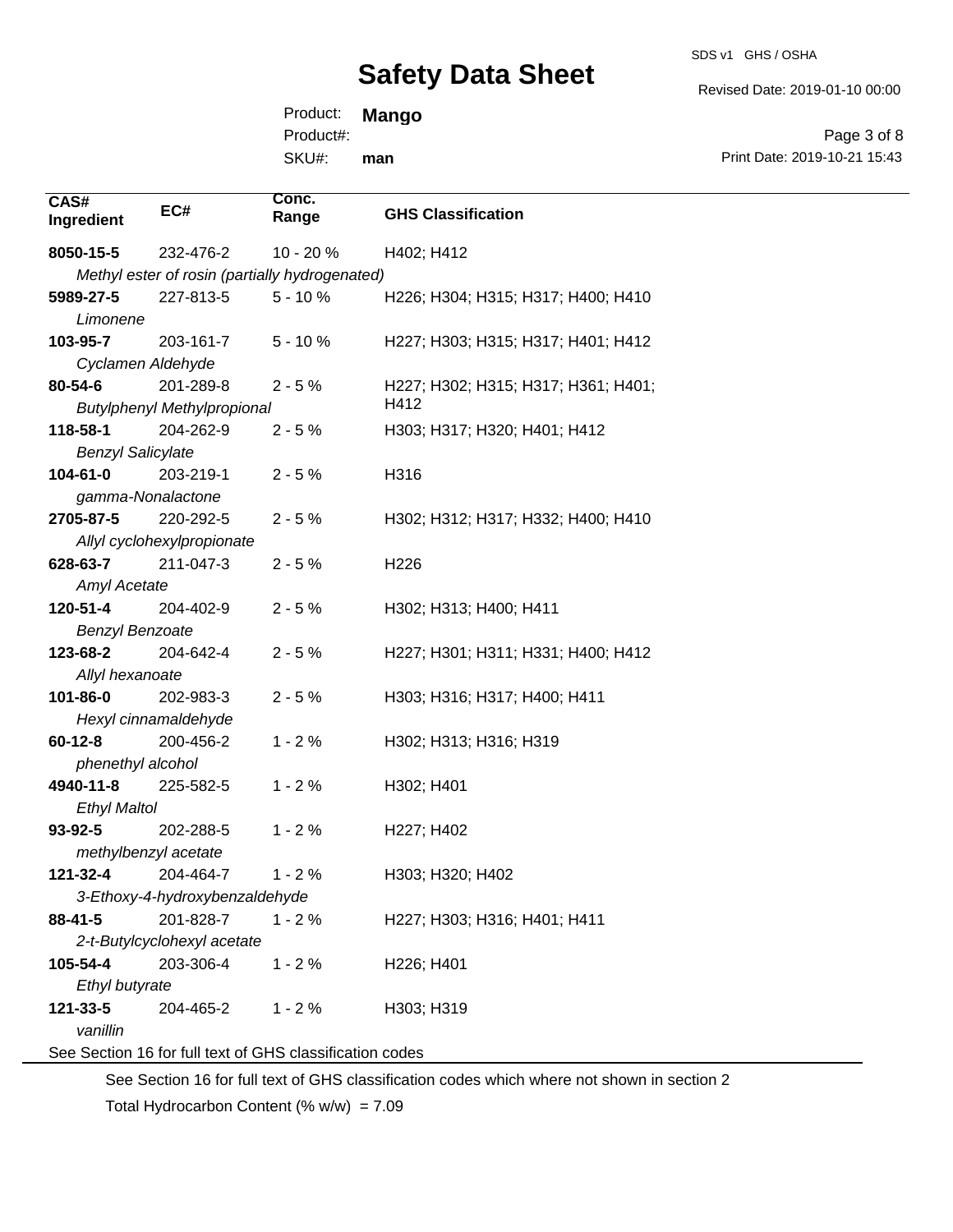SDS v1 GHS / OSHA

Revised Date: 2019-01-10 00:00

Product: **Mango** SKU#: Product#: **man**

Page 3 of 8 Print Date: 2019-10-21 15:43

| CAS#                     | EC#                                | Conc.                                                    |                                     |
|--------------------------|------------------------------------|----------------------------------------------------------|-------------------------------------|
| Ingredient               |                                    | Range                                                    | <b>GHS Classification</b>           |
| 8050-15-5                | 232-476-2                          | 10 - 20 %                                                | H402; H412                          |
|                          |                                    | Methyl ester of rosin (partially hydrogenated)           |                                     |
| 5989-27-5                | 227-813-5                          | $5 - 10%$                                                | H226; H304; H315; H317; H400; H410  |
| Limonene                 |                                    |                                                          |                                     |
| 103-95-7                 | 203-161-7                          | $5 - 10%$                                                | H227; H303; H315; H317; H401; H412  |
| Cyclamen Aldehyde        |                                    |                                                          |                                     |
| 80-54-6                  | 201-289-8                          | $2 - 5%$                                                 | H227; H302; H315; H317; H361; H401; |
|                          | <b>Butylphenyl Methylpropional</b> |                                                          | H412                                |
| 118-58-1                 | 204-262-9                          | $2 - 5%$                                                 | H303; H317; H320; H401; H412        |
| <b>Benzyl Salicylate</b> |                                    |                                                          |                                     |
| 104-61-0                 | 203-219-1                          | $2 - 5%$                                                 | H316                                |
| gamma-Nonalactone        |                                    |                                                          |                                     |
| 2705-87-5                | 220-292-5                          | $2 - 5%$                                                 | H302; H312; H317; H332; H400; H410  |
|                          | Allyl cyclohexylpropionate         |                                                          |                                     |
| 628-63-7                 | 211-047-3                          | $2 - 5%$                                                 | H <sub>226</sub>                    |
| <b>Amyl Acetate</b>      |                                    |                                                          |                                     |
| 120-51-4                 | 204-402-9                          | $2 - 5%$                                                 | H302; H313; H400; H411              |
| <b>Benzyl Benzoate</b>   |                                    |                                                          |                                     |
| 123-68-2                 | 204-642-4                          | $2 - 5%$                                                 | H227; H301; H311; H331; H400; H412  |
| Allyl hexanoate          |                                    |                                                          |                                     |
| 101-86-0                 | 202-983-3                          | $2 - 5%$                                                 | H303; H316; H317; H400; H411        |
|                          | Hexyl cinnamaldehyde               |                                                          |                                     |
| $60 - 12 - 8$            | 200-456-2                          | $1 - 2%$                                                 | H302; H313; H316; H319              |
| phenethyl alcohol        |                                    |                                                          |                                     |
| 4940-11-8                | 225-582-5                          | $1 - 2%$                                                 | H302; H401                          |
| <b>Ethyl Maltol</b>      |                                    |                                                          |                                     |
| 93-92-5                  | 202-288-5                          | $1 - 2%$                                                 | H227; H402                          |
| methylbenzyl acetate     |                                    |                                                          |                                     |
| 121-32-4                 | 204-464-7                          | $1 - 2%$                                                 | H303; H320; H402                    |
|                          | 3-Ethoxy-4-hydroxybenzaldehyde     |                                                          |                                     |
| 88-41-5                  | 201-828-7                          | $1 - 2%$                                                 | H227; H303; H316; H401; H411        |
|                          | 2-t-Butylcyclohexyl acetate        |                                                          |                                     |
| 105-54-4                 | 203-306-4                          | $1 - 2%$                                                 | H226; H401                          |
| Ethyl butyrate           |                                    |                                                          |                                     |
| 121-33-5                 | 204-465-2                          | $1 - 2%$                                                 | H303; H319                          |
| vanillin                 |                                    |                                                          |                                     |
|                          |                                    | See Section 16 for full text of GHS classification codes |                                     |

See Section 16 for full text of GHS classification codes which where not shown in section 2

Total Hydrocarbon Content (%  $w/w$ ) = 7.09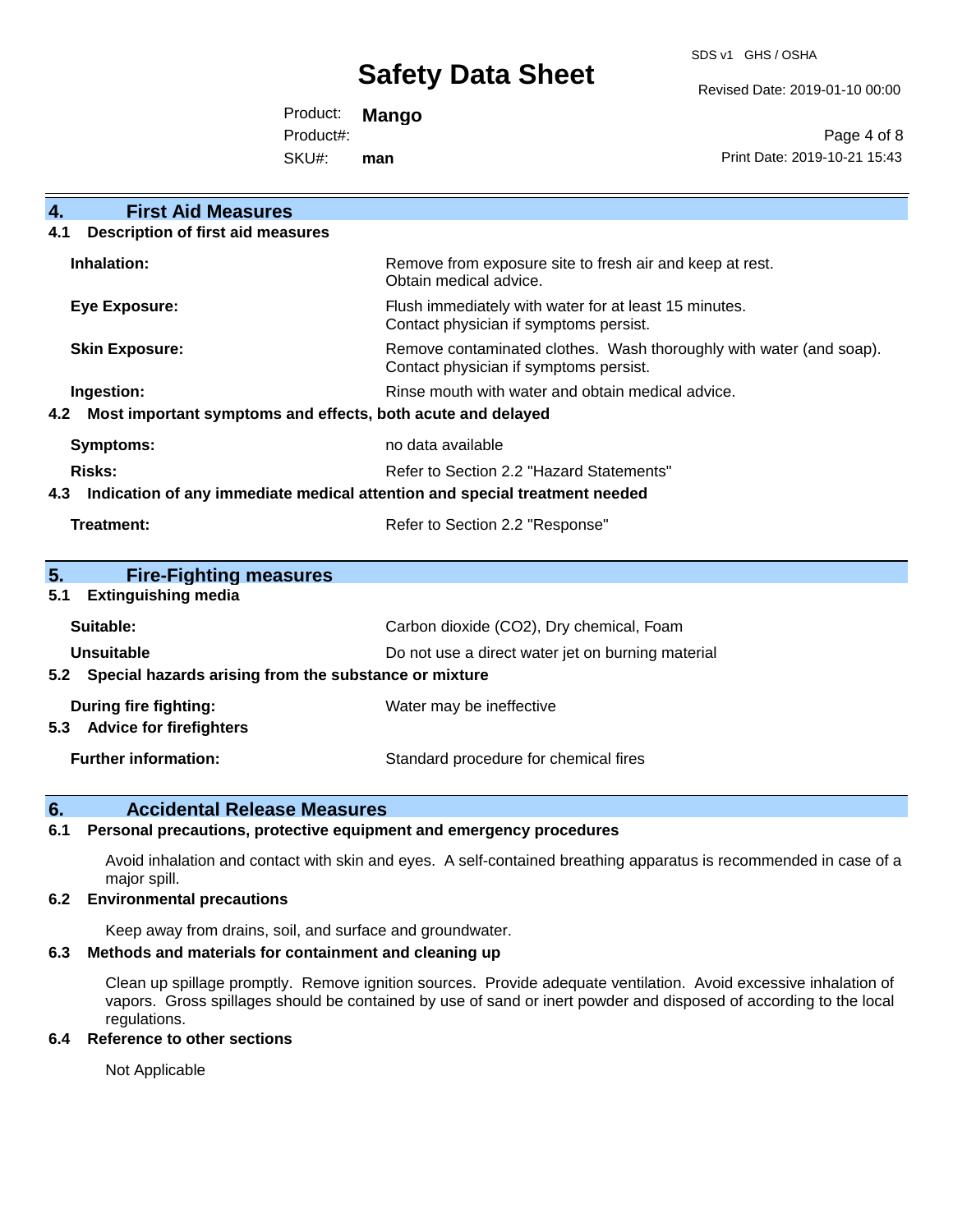SDS v1 GHS / OSHA

Revised Date: 2019-01-10 00:00

Product: **Mango** Product#:

SKU#: **man**

Page 4 of 8 Print Date: 2019-10-21 15:43

| <b>First Aid Measures</b><br>$\overline{4}$ .                                     |                                                                                                               |  |
|-----------------------------------------------------------------------------------|---------------------------------------------------------------------------------------------------------------|--|
| <b>Description of first aid measures</b><br>4.1                                   |                                                                                                               |  |
|                                                                                   |                                                                                                               |  |
| Inhalation:                                                                       | Remove from exposure site to fresh air and keep at rest.<br>Obtain medical advice.                            |  |
| <b>Eye Exposure:</b>                                                              | Flush immediately with water for at least 15 minutes.<br>Contact physician if symptoms persist.               |  |
| <b>Skin Exposure:</b>                                                             | Remove contaminated clothes. Wash thoroughly with water (and soap).<br>Contact physician if symptoms persist. |  |
| Ingestion:                                                                        | Rinse mouth with water and obtain medical advice.                                                             |  |
| Most important symptoms and effects, both acute and delayed<br>4.2                |                                                                                                               |  |
| <b>Symptoms:</b>                                                                  | no data available                                                                                             |  |
| Risks:                                                                            | Refer to Section 2.2 "Hazard Statements"                                                                      |  |
| Indication of any immediate medical attention and special treatment needed<br>4.3 |                                                                                                               |  |
| <b>Treatment:</b>                                                                 | Refer to Section 2.2 "Response"                                                                               |  |
|                                                                                   |                                                                                                               |  |
| 5 <sub>1</sub><br><b>Fire-Fighting measures</b>                                   |                                                                                                               |  |
| <b>Extinguishing media</b><br>5.1                                                 |                                                                                                               |  |
| Suitable:                                                                         | Carbon dioxide (CO2), Dry chemical, Foam                                                                      |  |
| Unsuitable                                                                        | Do not use a direct water jet on burning material                                                             |  |
| Special hazards arising from the substance or mixture<br>5.2                      |                                                                                                               |  |
| During fire fighting:                                                             | Water may be ineffective                                                                                      |  |
| <b>Advice for firefighters</b><br>5.3                                             |                                                                                                               |  |
| <b>Further information:</b>                                                       | Standard procedure for chemical fires                                                                         |  |

### **6. Accidental Release Measures**

### **6.1 Personal precautions, protective equipment and emergency procedures**

Avoid inhalation and contact with skin and eyes. A self-contained breathing apparatus is recommended in case of a major spill.

### **6.2 Environmental precautions**

Keep away from drains, soil, and surface and groundwater.

### **6.3 Methods and materials for containment and cleaning up**

Clean up spillage promptly. Remove ignition sources. Provide adequate ventilation. Avoid excessive inhalation of vapors. Gross spillages should be contained by use of sand or inert powder and disposed of according to the local regulations.

### **6.4 Reference to other sections**

Not Applicable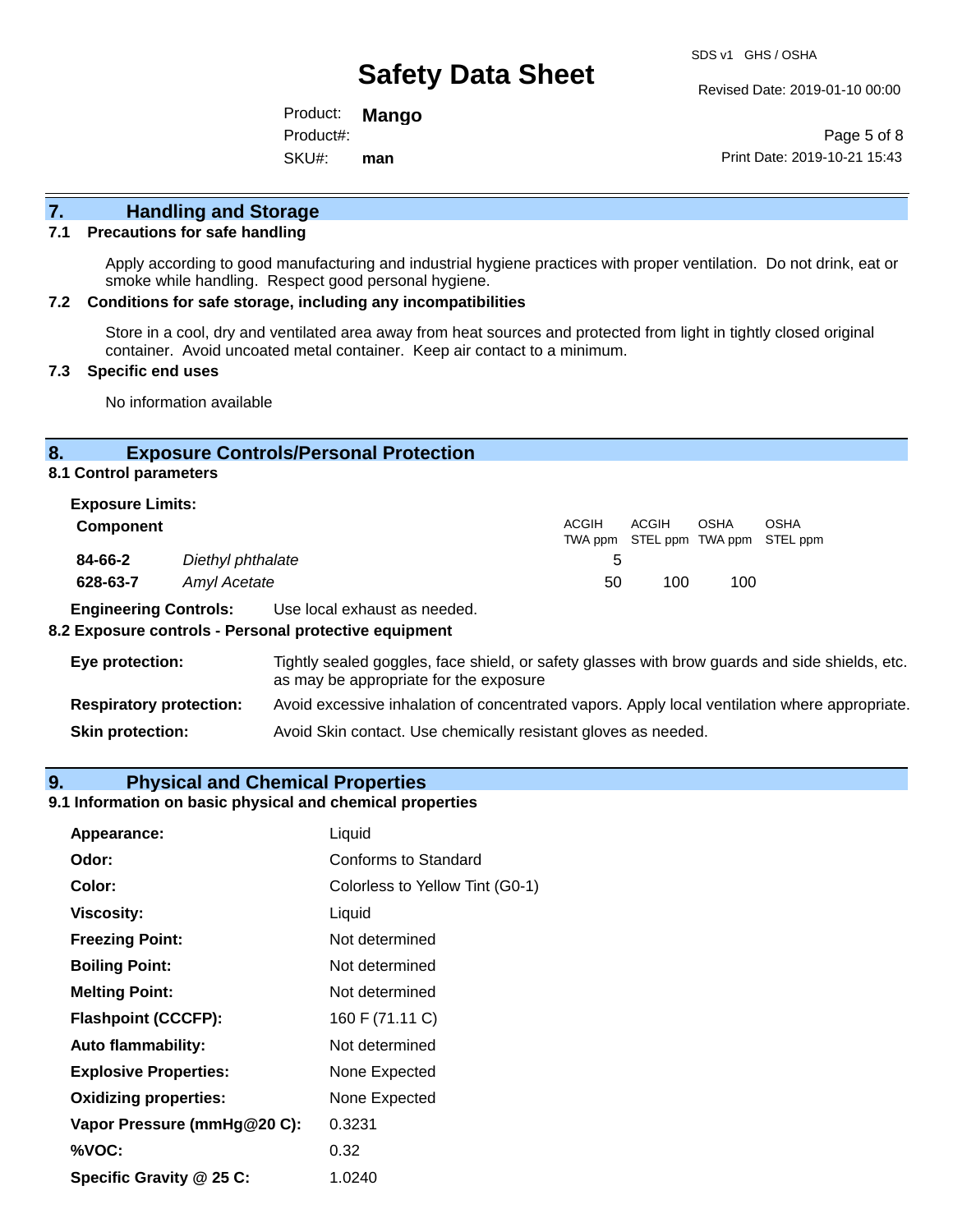Revised Date: 2019-01-10 00:00

Product: **Mango** SKU#: Product#: **man**

Page 5 of 8 Print Date: 2019-10-21 15:43

## **7. Handling and Storage**

#### **7.1 Precautions for safe handling**

Apply according to good manufacturing and industrial hygiene practices with proper ventilation. Do not drink, eat or smoke while handling. Respect good personal hygiene.

#### **7.2 Conditions for safe storage, including any incompatibilities**

Store in a cool, dry and ventilated area away from heat sources and protected from light in tightly closed original container. Avoid uncoated metal container. Keep air contact to a minimum.

### **7.3 Specific end uses**

No information available

### **8. Exposure Controls/Personal Protection**

**8.1 Control parameters**

| <b>Exposure Limits:</b> |                   |       |                                            |      |      |
|-------------------------|-------------------|-------|--------------------------------------------|------|------|
| <b>Component</b>        |                   | ACGIH | ACGIH<br>TWA ppm STEL ppm TWA ppm STEL ppm | OSHA | OSHA |
| 84-66-2                 | Diethyl phthalate | 5.    |                                            |      |      |
| 628-63-7                | Amyl Acetate      | 50    | 100                                        | 100  |      |

**Engineering Controls:** Use local exhaust as needed.

#### **8.2 Exposure controls - Personal protective equipment**

| Eye protection:                | Tightly sealed goggles, face shield, or safety glasses with brow guards and side shields, etc.<br>as may be appropriate for the exposure |
|--------------------------------|------------------------------------------------------------------------------------------------------------------------------------------|
| <b>Respiratory protection:</b> | Avoid excessive inhalation of concentrated vapors. Apply local ventilation where appropriate.                                            |
| <b>Skin protection:</b>        | Avoid Skin contact. Use chemically resistant gloves as needed.                                                                           |

### **9. Physical and Chemical Properties**

#### **9.1 Information on basic physical and chemical properties**

| Appearance:                  | Liquid                          |
|------------------------------|---------------------------------|
| Odor:                        | Conforms to Standard            |
| Color:                       | Colorless to Yellow Tint (G0-1) |
| <b>Viscosity:</b>            | Liquid                          |
| <b>Freezing Point:</b>       | Not determined                  |
| <b>Boiling Point:</b>        | Not determined                  |
| <b>Melting Point:</b>        | Not determined                  |
| <b>Flashpoint (CCCFP):</b>   | 160 F (71.11 C)                 |
| <b>Auto flammability:</b>    | Not determined                  |
| <b>Explosive Properties:</b> | None Expected                   |
| <b>Oxidizing properties:</b> | None Expected                   |
| Vapor Pressure (mmHg@20 C):  | 0.3231                          |
| %VOC:                        | 0.32                            |
| Specific Gravity @ 25 C:     | 1.0240                          |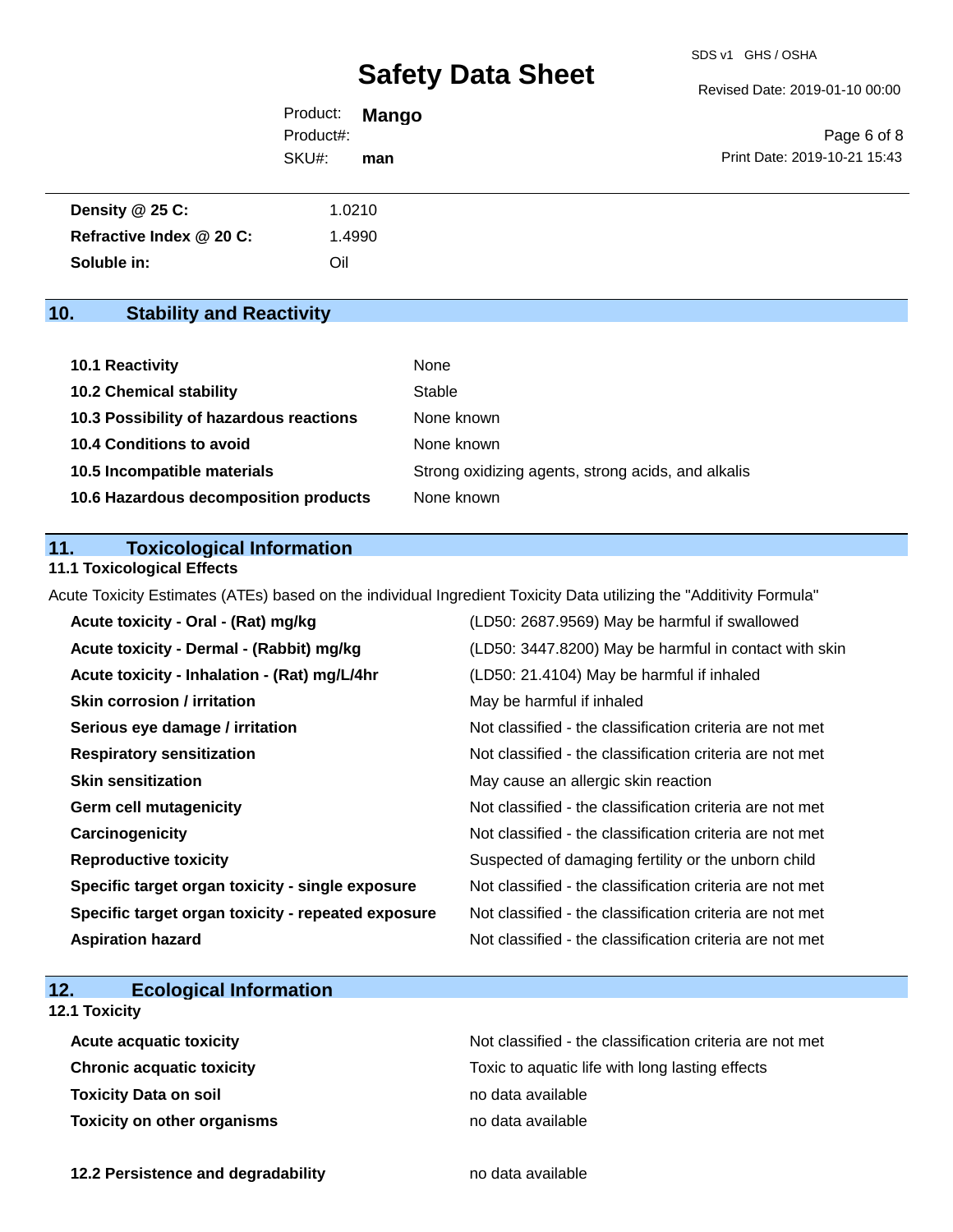Revised Date: 2019-01-10 00:00

Product: **Mango** SKU#: Product#: **man**

Page 6 of 8 Print Date: 2019-10-21 15:43

| Density @ 25 C:          | 1.0210 |
|--------------------------|--------|
| Refractive Index @ 20 C: | .4990  |
| Soluble in:              | Oil    |

### **10. Stability and Reactivity**

| 10.1 Reactivity                         | None                                               |
|-----------------------------------------|----------------------------------------------------|
| <b>10.2 Chemical stability</b>          | Stable                                             |
| 10.3 Possibility of hazardous reactions | None known                                         |
| <b>10.4 Conditions to avoid</b>         | None known                                         |
| 10.5 Incompatible materials             | Strong oxidizing agents, strong acids, and alkalis |
| 10.6 Hazardous decomposition products   | None known                                         |

### **11. Toxicological Information**

### **11.1 Toxicological Effects**

Acute Toxicity Estimates (ATEs) based on the individual Ingredient Toxicity Data utilizing the "Additivity Formula"

| Acute toxicity - Oral - (Rat) mg/kg                | (LD50: 2687.9569) May be harmful if swallowed            |
|----------------------------------------------------|----------------------------------------------------------|
| Acute toxicity - Dermal - (Rabbit) mg/kg           | (LD50: 3447.8200) May be harmful in contact with skin    |
| Acute toxicity - Inhalation - (Rat) mg/L/4hr       | (LD50: 21.4104) May be harmful if inhaled                |
| <b>Skin corrosion / irritation</b>                 | May be harmful if inhaled                                |
| Serious eye damage / irritation                    | Not classified - the classification criteria are not met |
| <b>Respiratory sensitization</b>                   | Not classified - the classification criteria are not met |
| <b>Skin sensitization</b>                          | May cause an allergic skin reaction                      |
| <b>Germ cell mutagenicity</b>                      | Not classified - the classification criteria are not met |
| Carcinogenicity                                    | Not classified - the classification criteria are not met |
| <b>Reproductive toxicity</b>                       | Suspected of damaging fertility or the unborn child      |
| Specific target organ toxicity - single exposure   | Not classified - the classification criteria are not met |
| Specific target organ toxicity - repeated exposure | Not classified - the classification criteria are not met |
| <b>Aspiration hazard</b>                           | Not classified - the classification criteria are not met |

### **12. Ecological Information**

### **12.1 Toxicity**

| <b>Acute acquatic toxicity</b>     | Not classified - the classification criteria are not met |
|------------------------------------|----------------------------------------------------------|
| <b>Chronic acquatic toxicity</b>   | Toxic to aquatic life with long lasting effects          |
| <b>Toxicity Data on soil</b>       | no data available                                        |
| <b>Toxicity on other organisms</b> | no data available                                        |

**12.2 Persistence and degradability no data available**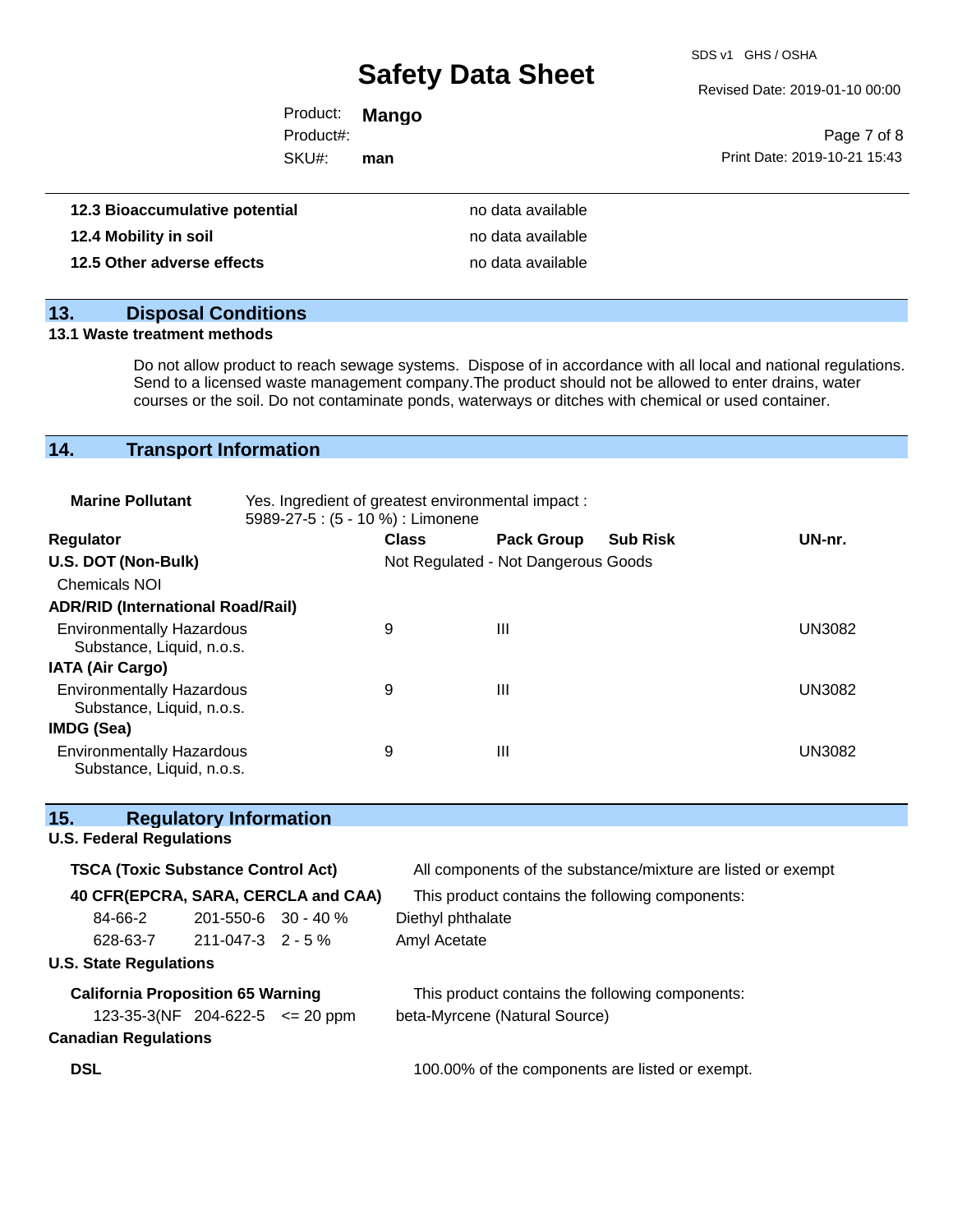SDS v1 GHS / OSHA

Revised Date: 2019-01-10 00:00

| Product:  | Mango |                              |
|-----------|-------|------------------------------|
| Product#: |       | Page 7 of 8                  |
| SKU#:     | man   | Print Date: 2019-10-21 15:43 |
|           |       |                              |

| 12.3 Bioaccumulative potential | no data available |
|--------------------------------|-------------------|
| 12.4 Mobility in soil          | no data available |
| 12.5 Other adverse effects     | no data available |

### **13. Disposal Conditions**

#### **13.1 Waste treatment methods**

Do not allow product to reach sewage systems. Dispose of in accordance with all local and national regulations. Send to a licensed waste management company.The product should not be allowed to enter drains, water courses or the soil. Do not contaminate ponds, waterways or ditches with chemical or used container.

### **14. Transport Information**

| <b>Marine Pollutant</b>                                       | Yes. Ingredient of greatest environmental impact:<br>5989-27-5: (5 - 10 %) : Limonene |              |                                     |                 |               |
|---------------------------------------------------------------|---------------------------------------------------------------------------------------|--------------|-------------------------------------|-----------------|---------------|
| <b>Regulator</b>                                              |                                                                                       | <b>Class</b> | <b>Pack Group</b>                   | <b>Sub Risk</b> | UN-nr.        |
| U.S. DOT (Non-Bulk)                                           |                                                                                       |              | Not Regulated - Not Dangerous Goods |                 |               |
| <b>Chemicals NOI</b>                                          |                                                                                       |              |                                     |                 |               |
| <b>ADR/RID (International Road/Rail)</b>                      |                                                                                       |              |                                     |                 |               |
| <b>Environmentally Hazardous</b><br>Substance, Liquid, n.o.s. |                                                                                       | 9            | Ш                                   |                 | <b>UN3082</b> |
| <b>IATA (Air Cargo)</b>                                       |                                                                                       |              |                                     |                 |               |
| <b>Environmentally Hazardous</b><br>Substance, Liquid, n.o.s. |                                                                                       | 9            | Ш                                   |                 | <b>UN3082</b> |
| IMDG (Sea)                                                    |                                                                                       |              |                                     |                 |               |
| <b>Environmentally Hazardous</b><br>Substance, Liquid, n.o.s. |                                                                                       | 9            | Ш                                   |                 | <b>UN3082</b> |

| 15.<br><b>Regulatory Information</b>      |                                            |                           |                                                              |  |
|-------------------------------------------|--------------------------------------------|---------------------------|--------------------------------------------------------------|--|
| <b>U.S. Federal Regulations</b>           |                                            |                           |                                                              |  |
| <b>TSCA (Toxic Substance Control Act)</b> |                                            |                           | All components of the substance/mixture are listed or exempt |  |
|                                           | 40 CFR(EPCRA, SARA, CERCLA and CAA)        |                           | This product contains the following components:              |  |
| 84-66-2                                   |                                            | $201 - 550 - 6$ 30 - 40 % | Diethyl phthalate                                            |  |
|                                           | $628-63-7$ 211-047-3 2 - 5 %               |                           | Amyl Acetate                                                 |  |
| <b>U.S. State Regulations</b>             |                                            |                           |                                                              |  |
| <b>California Proposition 65 Warning</b>  |                                            |                           | This product contains the following components:              |  |
|                                           | $123-35-3(NF 204-622-5 \le 20 \text{ ppm}$ |                           | beta-Myrcene (Natural Source)                                |  |
| <b>Canadian Regulations</b>               |                                            |                           |                                                              |  |
| <b>DSL</b>                                |                                            |                           | 100.00% of the components are listed or exempt.              |  |